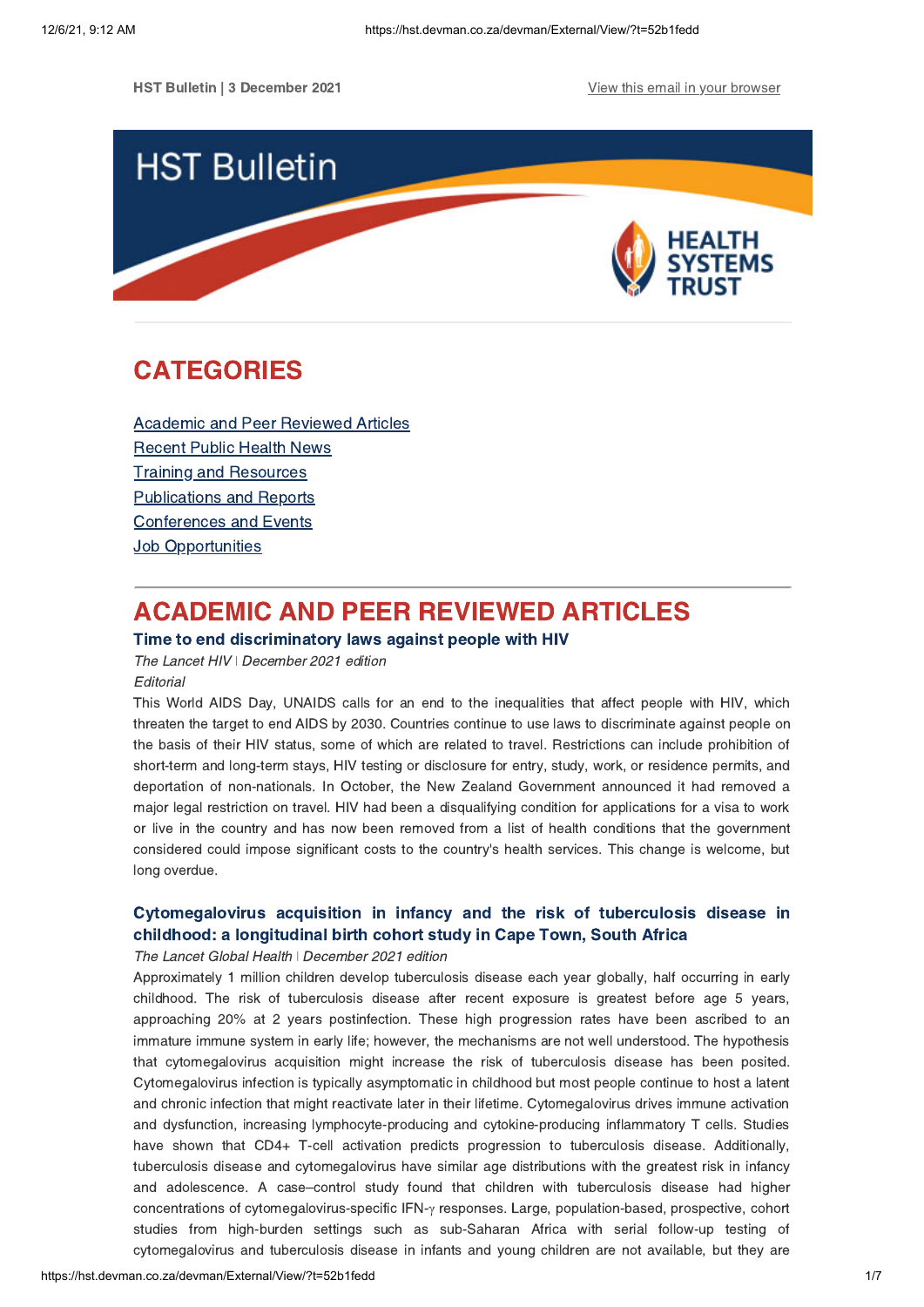**HST Bulletin | 3 December 2021 View this email in your [browser](https://hst.devman.co.za/devman/external/?t=5b014846&t1=52b1fedd)** 



# <span id="page-0-1"></span>CATEGORIES

Academic and Peer [Reviewed](#page-0-0) Articles [Recent](#page-2-0) Public Health News Training and Resources [Publications](#page-4-0) and Reports [Conferences](#page-5-0) and Events **Job [Opportunities](#page-6-0)** 

# <span id="page-0-0"></span>ACADEMIC AND PEER REVIEWED ARTICLES

# Time to end [discriminatory](https://hst.devman.co.za/devman/external/?t=d76cdd45) laws against people with HIV

The Lancet HIV | December 2021 edition **Editorial** 

This World AIDS Day, UNAIDS calls for an end to the inequalities that affect people with HIV, which threaten the target to end AIDS by 2030. Countries continue to use laws to discriminate against people on the basis of their HIV status, some of which are related to travel. Restrictions can include prohibition of short-term and long-term stays, HIV testing or disclosure for entry, study, work, or residence permits, and deportation of non-nationals. In October, the New Zealand Government announced it had removed a major legal restriction on travel. HIV had been a disqualifying condition for applications for a visa to work or live in the country and has now been removed from a list of health conditions that the government considered could impose significant costs to the country's health services. This change is welcome, but long overdue.

## [Cytomegalovirus](https://hst.devman.co.za/devman/external/?t=d5e5df40) acquisition in infancy and the risk of tuberculosis disease in childhood: a longitudinal birth cohort study in Cape Town, South Africa

### The Lancet Global Health | December 2021 edition

Approximately 1 million children develop tuberculosis disease each year globally, half occurring in early childhood. The risk of tuberculosis disease after recent exposure is greatest before age 5 years, approaching 20% at 2 years postinfection. These high progression rates have been ascribed to an immature immune system in early life; however, the mechanisms are not well understood. The hypothesis that cytomegalovirus acquisition might increase the risk of tuberculosis disease has been posited. Cytomegalovirus infection is typically asymptomatic in childhood but most people continue to host a latent and chronic infection that might reactivate later in their lifetime. Cytomegalovirus drives immune activation and dysfunction, increasing lymphocyte-producing and cytokine-producing inflammatory T cells. Studies have shown that CD4+ T-cell activation predicts progression to tuberculosis disease. Additionally, tuberculosis disease and cytomegalovirus have similar age distributions with the greatest risk in infancy and adolescence. A case–control study found that children with tuberculosis disease had higher concentrations of cytomegalovirus-specific IFN-γ responses. Large, population-based, prospective, cohort studies from high-burden settings such as sub-Saharan Africa with serial follow-up testing of cytomegalovirus and tuberculosis disease in infants and young children are not available, but they are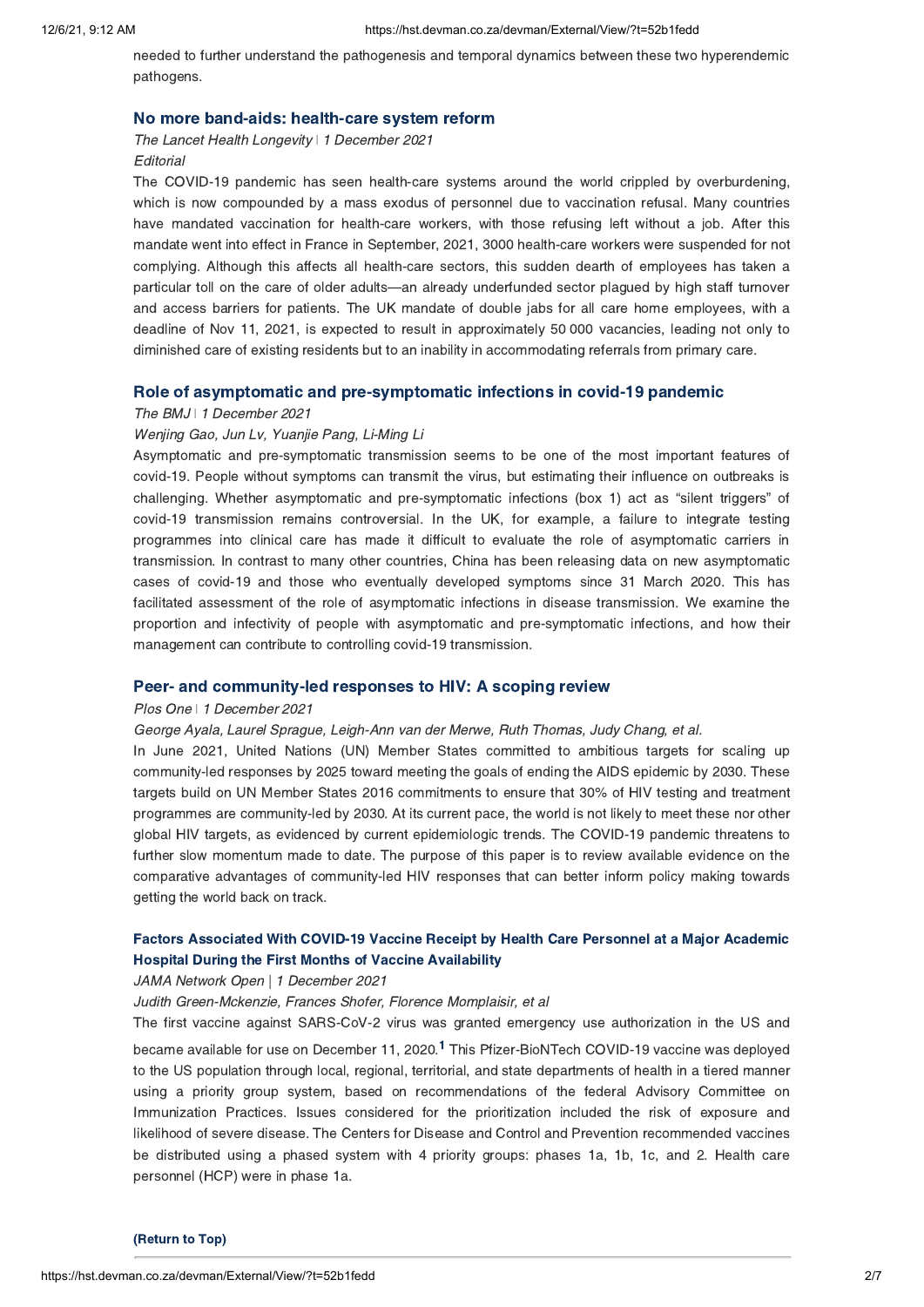needed to further understand the pathogenesis and temporal dynamics between these two hyperendemic pathogens.

### No more band-aids: [health-care](https://hst.devman.co.za/devman/external/?t=5251743f) system reform

The Lancet Health Longevity | 1 December 2021 **Editorial** 

The COVID-19 pandemic has seen health-care systems around the world crippled by overburdening, which is now compounded by a mass exodus of personnel due to vaccination refusal. Many countries have mandated vaccination for health-care workers, with those refusing left without a job. After this mandate went into effect in France in September, 2021, 3000 health-care workers were suspended for not complying. Although this affects all health-care sectors, this sudden dearth of employees has taken a particular toll on the care of older adults—an already underfunded sector plagued by high staff turnover and access barriers for patients. The UK mandate of double jabs for all care home employees, with a deadline of Nov 11, 2021, is expected to result in approximately 50 000 vacancies, leading not only to diminished care of existing residents but to an inability in accommodating referrals from primary care.

### Role of asymptomatic and [pre-symptomatic](https://hst.devman.co.za/devman/external/?t=1bf5f742) infections in covid-19 pandemic

### The BMJ | 1 December 2021

### Wenjing Gao, Jun Lv, Yuanjie Pang, Li-Ming Li

Asymptomatic and pre-symptomatic transmission seems to be one of the most important features of covid-19. People without symptoms can transmit the virus, but estimating their influence on outbreaks is challenging. Whether asymptomatic and pre-symptomatic infections (box 1) act as "silent triggers" of covid-19 transmission remains controversial. In the UK, for example, a failure to integrate testing programmes into clinical care has made it difficult to evaluate the role of asymptomatic carriers in transmission. In contrast to many other countries, China has been releasing data on new asymptomatic cases of covid-19 and those who eventually developed symptoms since 31 March 2020. This has facilitated assessment of the role of asymptomatic infections in disease transmission. We examine the proportion and infectivity of people with asymptomatic and pre-symptomatic infections, and how their management can contribute to controlling covid-19 transmission.

### Peer- and [community-led](https://hst.devman.co.za/devman/external/?t=98618c41) responses to HIV: A scoping review

### Plos One | 1 December 2021

George Ayala, Laurel Sprague, Leigh-Ann van der Merwe, Ruth Thomas, Judy Chang, et al.

In June 2021, United Nations (UN) Member States committed to ambitious targets for scaling up community-led responses by 2025 toward meeting the goals of ending the AIDS epidemic by 2030. These targets build on UN Member States 2016 commitments to ensure that 30% of HIV testing and treatment programmes are community-led by 2030. At its current pace, the world is not likely to meet these nor other global HIV targets, as evidenced by current epidemiologic trends. The COVID-19 pandemic threatens to further slow momentum made to date. The purpose of this paper is to review available evidence on the comparative advantages of community-led HIV responses that can better inform policy making towards getting the world back on track.

## Factors [Associated](https://hst.devman.co.za/devman/external/?t=2b64e4c) With COVID-19 Vaccine Receipt by Health Care Personnel at a Major Academic Hospital During the First Months of Vaccine Availability

### JAMA Network Open | 1 December 2021

Judith Green-Mckenzie, Frances Shofer, Florence Momplaisir, et al

The first vaccine against SARS-CoV-2 virus was granted emergency use authorization in the US and became available for use on December [1](https://hst.devman.co.za/devman/external/?t=7f21e34b)1, 2020.<sup>1</sup> This Pfizer-BioNTech COVID-19 vaccine was deploved to the US population through local, regional, territorial, and state departments of health in a tiered manner using a priority group system, based on recommendations of the federal Advisory Committee on Immunization Practices. Issues considered for the prioritization included the risk of exposure and likelihood of severe disease. The Centers for Disease and Control and Prevention recommended vaccines be distributed using a phased system with 4 priority groups: phases 1a, 1b, 1c, and 2. Health care personnel (HCP) were in phase 1a.

[\(Return](#page-0-1) to Top)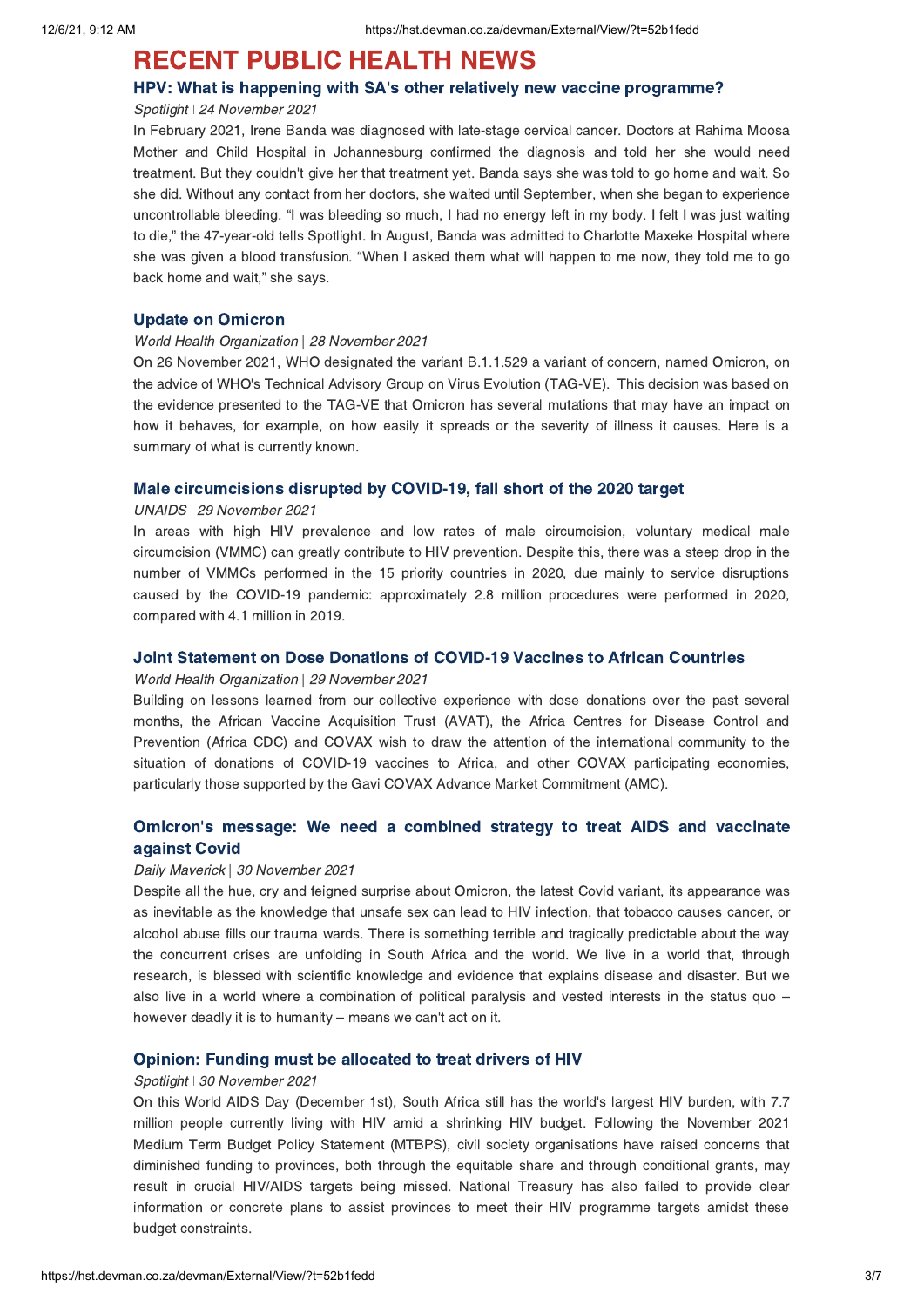# <span id="page-2-0"></span>RECENT PUBLIC HEALTH NEWS

# HPV: What is happening with SA's other relatively new vaccine [programme?](https://hst.devman.co.za/devman/external/?t=e833777f)

### Spotlight | 24 November 2021

In February 2021, Irene Banda was diagnosed with late-stage cervical cancer. Doctors at Rahima Moosa Mother and Child Hospital in Johannesburg confirmed the diagnosis and told her she would need treatment. But they couldn't give her that treatment yet. Banda says she was told to go home and wait. So she did. Without any contact from her doctors, she waited until September, when she began to experience uncontrollable bleeding. "I was bleeding so much, I had no energy left in my body. I felt I was just waiting to die," the 47-year-old tells Spotlight. In August, Banda was admitted to Charlotte Maxeke Hospital where she was given a blood transfusion. "When I asked them what will happen to me now, they told me to go back home and wait," she says.

### Update on [Omicron](https://hst.devman.co.za/devman/external/?t=649f0c7e)

### World Health Organization | 28 November 2021

On 26 November 2021, WHO designated the variant B.1.1.529 a variant of concern, named Omicron, on the advice of WHO's Technical Advisory Group on Virus Evolution (TAG-VE). This decision was based on the evidence presented to the TAG-VE that Omicron has several mutations that may have an impact on how it behaves, for example, on how easily it spreads or the severity of illness it causes. Here is a summary of what is currently known.

### Male [circumcisions](https://hst.devman.co.za/devman/external/?t=2e438f81) disrupted by COVID-19, fall short of the 2020 target

### UNAIDS ǀ 29 November 2021

In areas with high HIV prevalence and low rates of male circumcision, voluntary medical male circumcision (VMMC) can greatly contribute to HIV prevention. Despite this, there was a steep drop in the number of VMMCs performed in the 15 priority countries in 2020, due mainly to service disruptions caused by the COVID-19 pandemic: approximately 2.8 million procedures were performed in 2020, compared with 4.1 million in 2019.

### Joint Statement on Dose [Donations](https://hst.devman.co.za/devman/external/?t=aaaf2480) of COVID-19 Vaccines to African Countries

### World Health Organization | 29 November 2021

Building on lessons learned from our collective experience with dose donations over the past several months, the African Vaccine Acquisition Trust (AVAT), the Africa Centres for Disease Control and Prevention (Africa CDC) and COVAX wish to draw the attention of the international community to the situation of donations of COVID-19 vaccines to Africa, and other COVAX participating economies, particularly those supported by the Gavi COVAX Advance Market Commitment (AMC).

## [Omicron's](https://hst.devman.co.za/devman/external/?t=a928267b) message: We need a combined strategy to treat AIDS and vaccinate against Covid

#### Daily Maverick | 30 November 2021

Despite all the hue, cry and feigned surprise about Omicron, the latest Covid variant, its appearance was as inevitable as the knowledge that unsafe sex can lead to HIV infection, that tobacco causes cancer, or alcohol abuse fills our trauma wards. There is something terrible and tragically predictable about the way the concurrent crises are unfolding in South Africa and the world. We live in a world that, through research, is blessed with scientific knowledge and evidence that explains disease and disaster. But we also live in a world where a combination of political paralysis and vested interests in the status quo  $$ however deadly it is to humanity – means we can't act on it.

### Opinion: Funding must be [allocated](https://hst.devman.co.za/devman/external/?t=2593bb7a) to treat drivers of HIV

#### Spotlight | 30 November 2021

On this World AIDS Day (December 1st), South Africa still has the world's largest HIV burden, with 7.7 million people currently living with HIV amid a shrinking HIV budget. Following the November 2021 Medium Term Budget Policy Statement (MTBPS), civil society organisations have raised concerns that diminished funding to provinces, both through the equitable share and through conditional grants, may result in crucial HIV/AIDS targets being missed. National Treasury has also failed to provide clear information or concrete plans to assist provinces to meet their HIV programme targets amidst these budget constraints.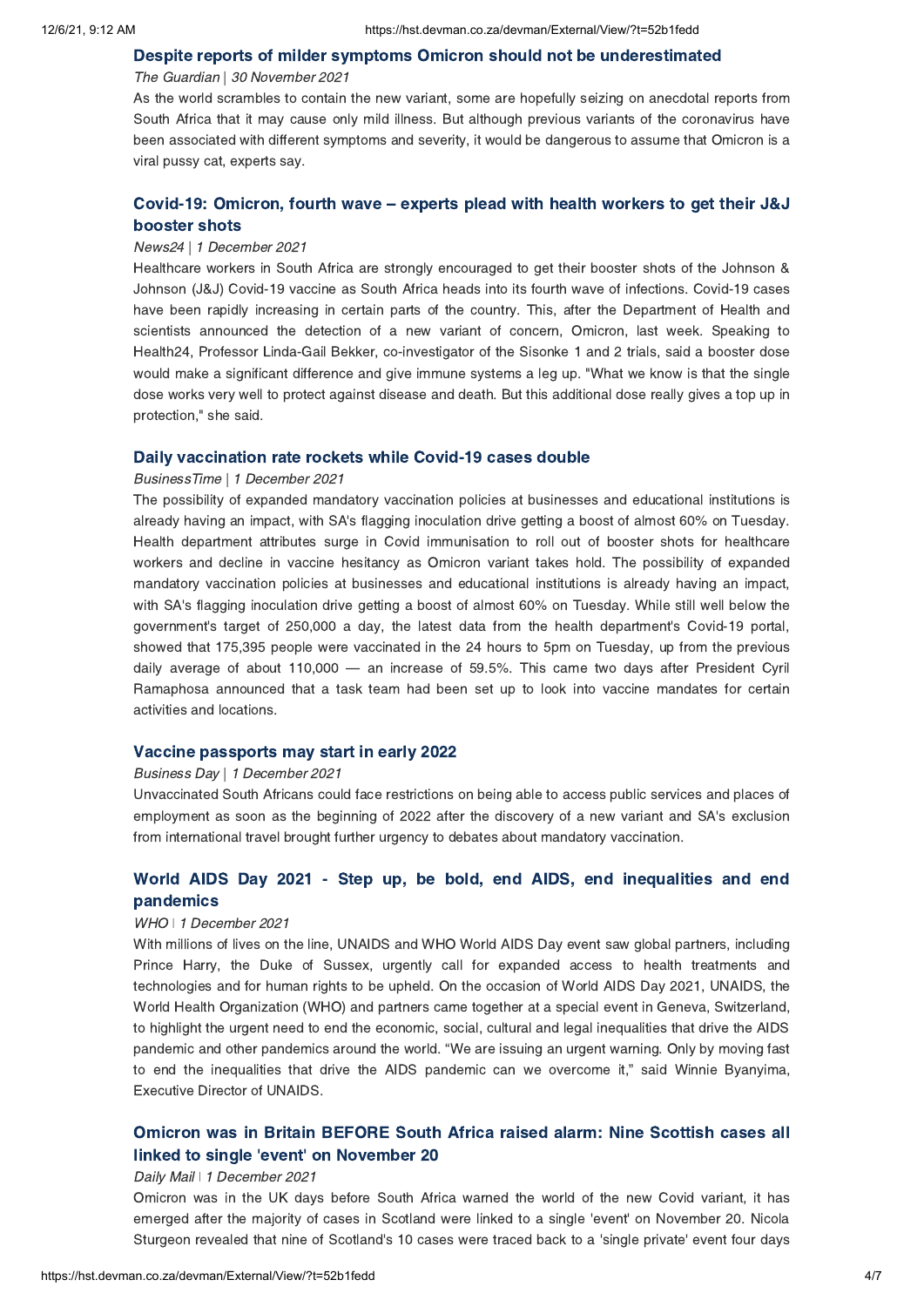### Despite reports of milder symptoms Omicron should not be [underestimated](https://hst.devman.co.za/devman/external/?t=ef383e7d)

### The Guardian | 30 November 2021

As the world scrambles to contain the new variant, some are hopefully seizing on anecdotal reports from South Africa that it may cause only mild illness. But although previous variants of the coronavirus have been associated with different symptoms and severity, it would be dangerous to assume that Omicron is a viral pussy cat, experts say.

## [Covid-19:](https://hst.devman.co.za/devman/external/?t=6ba3d37c) Omicron, fourth wave – experts plead with health workers to get their J&J booster shots

### News24 | 1 December 2021

Healthcare workers in South Africa are strongly encouraged to get their booster shots of the Johnson & Johnson (J&J) Covid-19 vaccine as South Africa heads into its fourth wave of infections. Covid-19 cases have been rapidly increasing in certain parts of the country. This, after the Department of Health and scientists announced the detection of a new variant of concern, Omicron, last week. Speaking to Health24, Professor Linda-Gail Bekker, co-investigator of the Sisonke 1 and 2 trials, said a booster dose would make a significant difference and give immune systems a leg up. "What we know is that the single dose works very well to protect against disease and death. But this additional dose really gives a top up in protection," she said.

### Daily [vaccination](https://hst.devman.co.za/devman/external/?t=d5f89587) rate rockets while Covid-19 cases double

### BusinessTime | 1 December 2021

The possibility of expanded mandatory vaccination policies at businesses and educational institutions is already having an impact, with SA's flagging inoculation drive getting a boost of almost 60% on Tuesday. Health department attributes surge in Covid immunisation to roll out of booster shots for healthcare workers and decline in vaccine hesitancy as Omicron variant takes hold. The possibility of expanded mandatory vaccination policies at businesses and educational institutions is already having an impact, with SA's flagging inoculation drive getting a boost of almost 60% on Tuesday. While still well below the government's target of 250,000 a day, the latest data from the health department's Covid-19 portal, showed that 175,395 people were vaccinated in the 24 hours to 5pm on Tuesday, up from the previous daily average of about 110,000 — an increase of 59.5%. This came two days after President Cyril Ramaphosa announced that a task team had been set up to look into vaccine mandates for certain activities and locations.

### Vaccine [passports](https://hst.devman.co.za/devman/external/?t=52642a86) may start in early 2022

#### Business Day | 1 December 2021

Unvaccinated South Africans could face restrictions on being able to access public services and places of employment as soon as the beginning of 2022 after the discovery of a new variant and SA's exclusion from international travel brought further urgency to debates about mandatory vaccination.

# World AIDS Day 2021 - Step up, be bold, end AIDS, end [inequalities](https://hst.devman.co.za/devman/external/?t=1a721fba) and end pandemics

### WHO | 1 December 2021

With millions of lives on the line, UNAIDS and WHO World AIDS Day event saw global partners, including Prince Harry, the Duke of Sussex, urgently call for expanded access to health treatments and technologies and for human rights to be upheld. On the occasion of World AIDS Day 2021, UNAIDS, the World Health Organization (WHO) and partners came together at a special event in Geneva, Switzerland, to highlight the urgent need to end the economic, social, cultural and legal inequalities that drive the AIDS pandemic and other pandemics around the world. "We are issuing an urgent warning. Only by moving fast to end the inequalities that drive the AIDS pandemic can we overcome it," said Winnie Byanyima, Executive Director of UNAIDS.

## Omicron was in Britain BEFORE South Africa raised alarm: Nine Scottish cases all linked to single 'event' on [November](https://hst.devman.co.za/devman/external/?t=96ddb4b9) 20

#### Daily Mail | 1 December 2021

Omicron was in the UK days before South Africa warned the world of the new Covid variant, it has emerged after the majority of cases in Scotland were linked to a single 'event' on November 20. Nicola Sturgeon revealed that nine of Scotland's 10 cases were traced back to a 'single private' event four days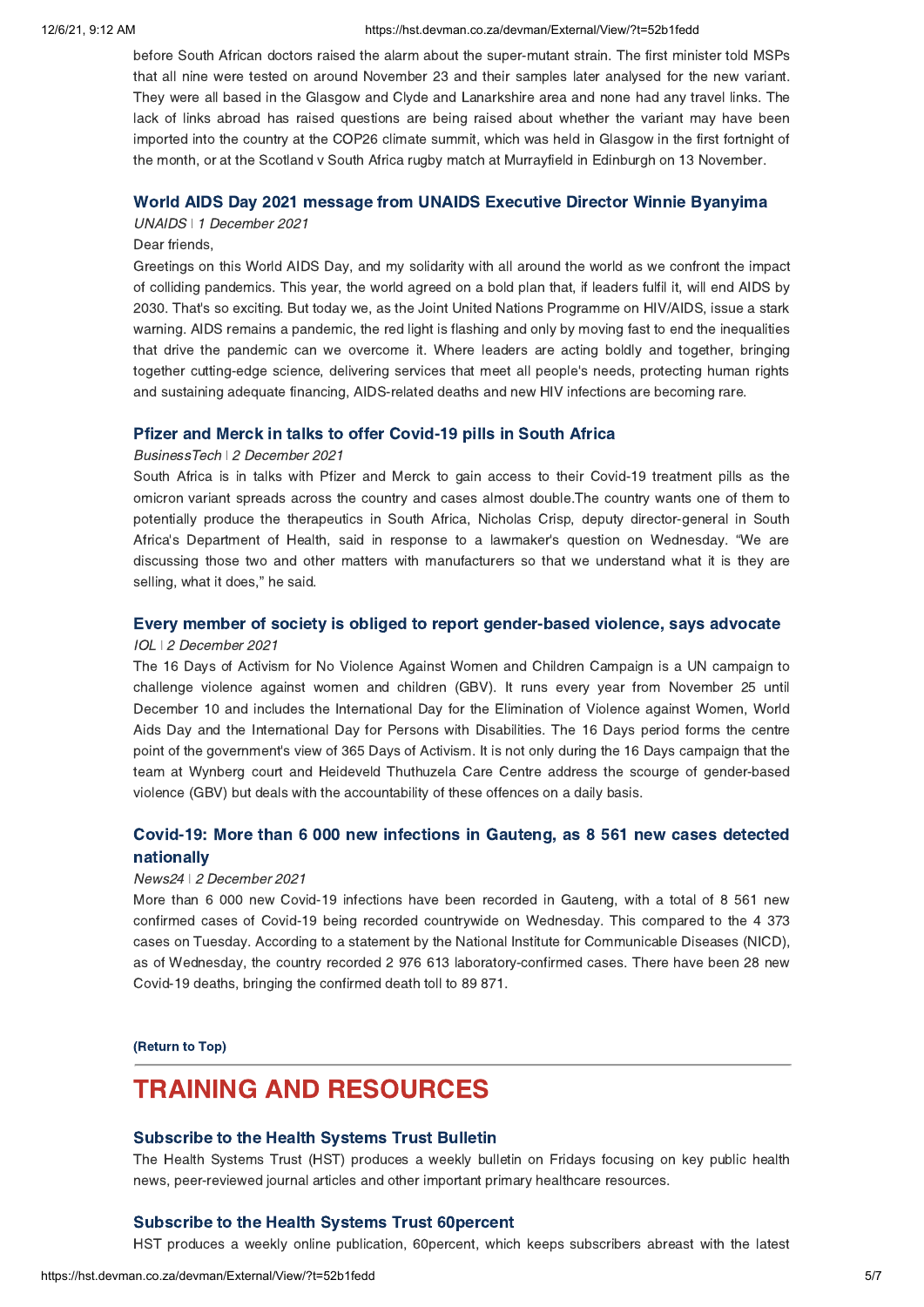#### 12/6/21, 9:12 AM https://hst.devman.co.za/devman/External/View/?t=52b1fedd

before South African doctors raised the alarm about the super-mutant strain. The first minister told MSPs that all nine were tested on around November 23 and their samples later analysed for the new variant. They were all based in the Glasgow and Clyde and Lanarkshire area and none had any travel links. The lack of links abroad has raised questions are being raised about whether the variant may have been imported into the country at the COP26 climate summit, which was held in Glasgow in the first fortnight of the month, or at the Scotland v South Africa rugby match at Murrayfield in Edinburgh on 13 November.

### World AIDS Day 2021 message from UNAIDS Executive Director Winnie [Byanyima](https://hst.devman.co.za/devman/external/?t=608237bc)

### UNAIDS | 1 December 2021

### Dear friends,

Greetings on this World AIDS Day, and my solidarity with all around the world as we confront the impact of colliding pandemics. This year, the world agreed on a bold plan that, if leaders fulfil it, will end AIDS by 2030. That's so exciting. But today we, as the Joint United Nations Programme on HIV/AIDS, issue a stark warning. AIDS remains a pandemic, the red light is flashing and only by moving fast to end the inequalities that drive the pandemic can we overcome it. Where leaders are acting boldly and together, bringing together cutting-edge science, delivering services that meet all people's needs, protecting human rights and sustaining adequate financing, AIDS-related deaths and new HIV infections are becoming rare.

### Pfizer and Merck in talks to offer [Covid-19](https://hst.devman.co.za/devman/external/?t=dcedccbb) pills in South Africa

### BusinessTech | 2 December 2021

South Africa is in talks with Pfizer and Merck to gain access to their Covid-19 treatment pills as the omicron variant spreads across the country and cases almost double.The country wants one of them to potentially produce the therapeutics in South Africa, Nicholas Crisp, deputy director-general in South Africa's Department of Health, said in response to a lawmaker's question on Wednesday. "We are discussing those two and other matters with manufacturers so that we understand what it is they are selling, what it does," he said.

### Every member of society is obliged to report [gender-based](https://hst.devman.co.za/devman/external/?t=db66ceb6) violence, says advocate

### IOL *ǀ* 2 December 2021

The 16 Days of Activism for No Violence Against Women and Children Campaign is a UN campaign to challenge violence against women and children (GBV). It runs every year from November 25 until December 10 and includes the International Day for the Elimination of Violence against Women, World Aids Day and the International Day for Persons with Disabilities. The 16 Days period forms the centre point of the government's view of 365 Days of Activism. It is not only during the 16 Days campaign that the team at Wynberg court and Heideveld Thuthuzela Care Centre address the scourge of gender-based violence (GBV) but deals with the accountability of these offences on a daily basis.

## Covid-19: More than 6 000 new [infections](https://hst.devman.co.za/devman/external/?t=57d263b5) in Gauteng, as 8 561 new cases detected nationally

### News24 *ǀ* 2 December 2021

More than 6 000 new Covid-19 infections have been recorded in Gauteng, with a total of 8 561 new confirmed cases of Covid-19 being recorded countrywide on Wednesday. This compared to the 4 373 cases on Tuesday. According to a statement by the National Institute for Communicable Diseases (NICD), as of Wednesday, the country recorded 2 976 613 laboratory-confirmed cases. There have been 28 new Covid-19 deaths, bringing the confirmed death toll to 89 871.

[\(Return](#page-0-1) to Top)

# <span id="page-4-0"></span>TRAINING AND RESOURCES

### [Subscribe](https://hst.devman.co.za/devman/external/?t=2176e6b8) to the Health Systems Trust Bulletin

The Health Systems Trust (HST) produces a weekly bulletin on Fridays focusing on key public health news, peer-reviewed journal articles and other important primary healthcare resources.

### [Subscribe](https://hst.devman.co.za/devman/external/?t=2176e6b8) to the Health Systems Trust 60percent

HST produces a weekly online publication, 60percent, which keeps subscribers abreast with the latest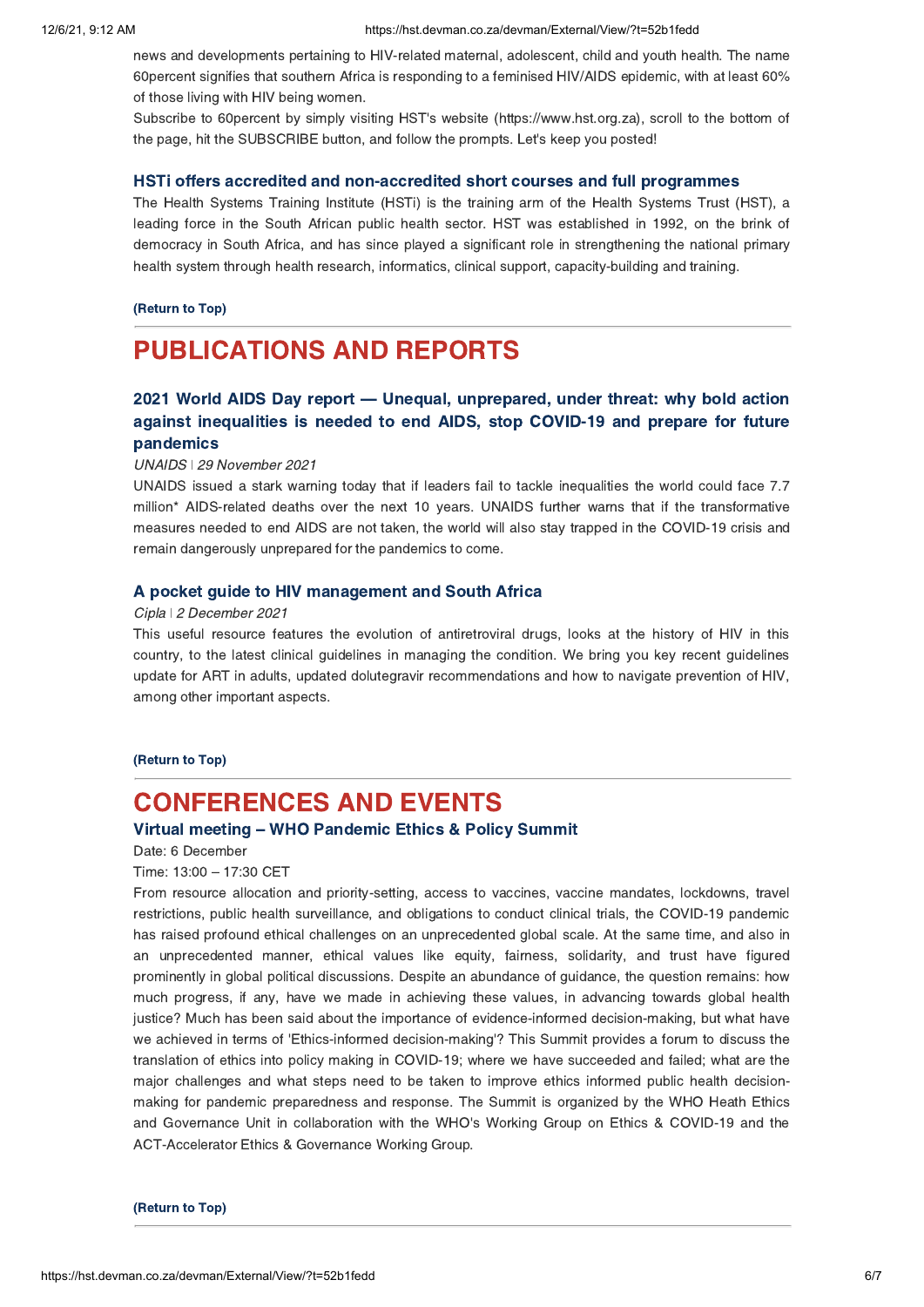news and developments pertaining to HIV-related maternal, adolescent, child and youth health. The name 60percent signifies that southern Africa is responding to a feminised HIV/AIDS epidemic, with at least 60% of those living with HIV being women.

Subscribe to 60percent by simply visiting HST's website (https://www.hst.org.za), scroll to the bottom of the page, hit the SUBSCRIBE button, and follow the prompts. Let's keep you posted!

### HSTi offers accredited and [non-accredited](https://hst.devman.co.za/devman/external/?t=9de27bb7) short courses and full programmes

The Health Systems Training Institute (HSTi) is the training arm of the Health Systems Trust (HST), a leading force in the South African public health sector. HST was established in 1992, on the brink of democracy in South Africa, and has since played a significant role in strengthening the national primary health system through health research, informatics, clinical support, capacity-building and training.

### [\(Return](#page-0-1) to Top)

# PUBLICATIONS AND REPORTS

# 2021 World AIDS Day report — Unequal, [unprepared,](https://hst.devman.co.za/devman/external/?t=8373dc2) under threat: why bold action against inequalities is needed to end AIDS, stop COVID-19 and prepare for future pandemics

### UNAIDS ǀ 29 November 2021

UNAIDS issued a stark warning today that if leaders fail to tackle inequalities the world could face 7.7 million\* AIDS-related deaths over the next 10 years. UNAIDS further warns that if the transformative measures needed to end AIDS are not taken, the world will also stay trapped in the COVID-19 crisis and remain dangerously unprepared for the pandemics to come.

### A pocket guide to HIV [management](https://hst.devman.co.za/devman/external/?t=84a2d2c1) and South Africa

#### Cipla ǀ 2 December 2021

This useful resource features the evolution of antiretroviral drugs, looks at the history of HIV in this country, to the latest clinical guidelines in managing the condition. We bring you key recent guidelines update for ART in adults, updated dolutegravir recommendations and how to navigate prevention of HIV, among other important aspects.

[\(Return](#page-0-1) to Top)

# <span id="page-5-0"></span>CONFERENCES AND EVENTS

## Virtual meeting – WHO [Pandemic](https://hst.devman.co.za/devman/external/?t=bcaff7f5) Ethics & Policy Summit

Date: 6 December

### Time: 13:00 – 17:30 CET

From resource allocation and priority-setting, access to vaccines, vaccine mandates, lockdowns, travel restrictions, public health surveillance, and obligations to conduct clinical trials, the COVID-19 pandemic has raised profound ethical challenges on an unprecedented global scale. At the same time, and also in an unprecedented manner, ethical values like equity, fairness, solidarity, and trust have figured prominently in global political discussions. Despite an abundance of guidance, the question remains: how much progress, if any, have we made in achieving these values, in advancing towards global health justice? Much has been said about the importance of evidence-informed decision-making, but what have we achieved in terms of 'Ethics-informed decision-making'? This Summit provides a forum to discuss the translation of ethics into policy making in COVID-19; where we have succeeded and failed; what are the major challenges and what steps need to be taken to improve ethics informed public health decisionmaking for pandemic preparedness and response. The Summit is organized by the WHO Heath Ethics and Governance Unit in collaboration with the WHO's Working Group on Ethics & COVID-19 and the ACT-Accelerator Ethics & Governance Working Group.

[\(Return](#page-0-1) to Top)